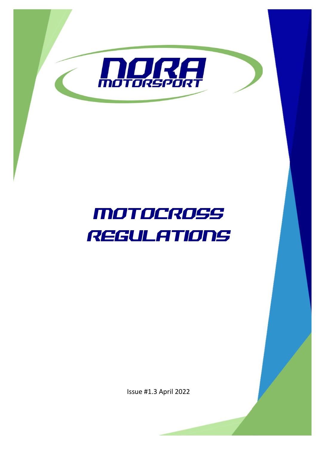

# MOTOCROSS REGULATIONS

Issue #1.3 April 2022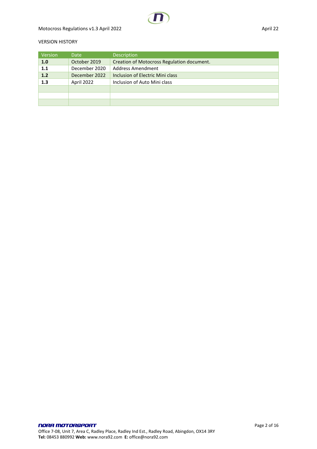### VERSION HISTORY

| Version | Date          | Description                                |
|---------|---------------|--------------------------------------------|
| 1.0     | October 2019  | Creation of Motocross Regulation document. |
| 1.1     | December 2020 | <b>Address Amendment</b>                   |
| 1.2     | December 2022 | Inclusion of Electric Mini class           |
| 1.3     | April 2022    | Inclusion of Auto Mini class               |
|         |               |                                            |
|         |               |                                            |
|         |               |                                            |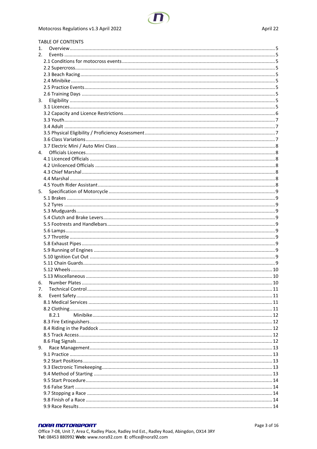# Motocross Regulations v1.3 April 2022

| <b>TABLE OF CONTENTS</b>        |  |
|---------------------------------|--|
| 1.                              |  |
| 2.                              |  |
|                                 |  |
|                                 |  |
|                                 |  |
|                                 |  |
|                                 |  |
|                                 |  |
| 3.                              |  |
|                                 |  |
|                                 |  |
|                                 |  |
|                                 |  |
|                                 |  |
|                                 |  |
|                                 |  |
| 4.                              |  |
|                                 |  |
|                                 |  |
|                                 |  |
|                                 |  |
|                                 |  |
|                                 |  |
| 5.                              |  |
|                                 |  |
|                                 |  |
|                                 |  |
|                                 |  |
|                                 |  |
|                                 |  |
|                                 |  |
|                                 |  |
|                                 |  |
|                                 |  |
|                                 |  |
|                                 |  |
| $\sim$ 10<br>5 13 Miscellaneous |  |
| 6.                              |  |
| 7.                              |  |
| 8.                              |  |
|                                 |  |
|                                 |  |
| 8.2.1                           |  |
|                                 |  |
|                                 |  |
|                                 |  |
|                                 |  |
| 9.                              |  |
|                                 |  |
|                                 |  |
|                                 |  |
|                                 |  |
|                                 |  |
|                                 |  |
|                                 |  |
|                                 |  |
|                                 |  |
|                                 |  |

### **NORA MOTORSPORT**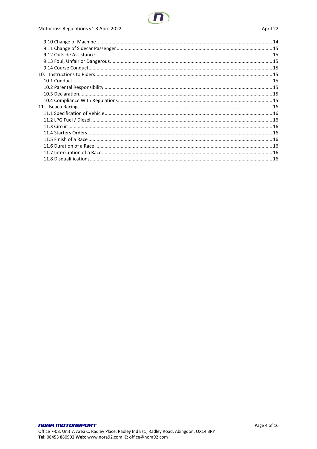# Motocross Regulations v1.3 April 2022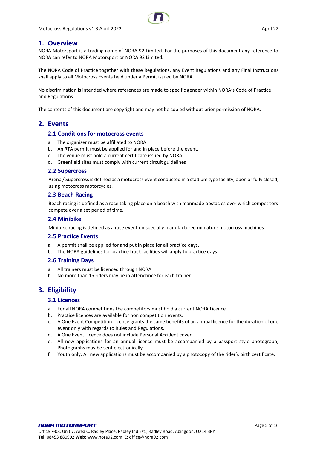

# <span id="page-4-0"></span>**1. Overview**

NORA Motorsport is a trading name of NORA 92 Limited. For the purposes of this document any reference to NORA can refer to NORA Motorsport or NORA 92 Limited.

The NORA Code of Practice together with these Regulations, any Event Regulations and any Final Instructions shall apply to all Motocross Events held under a Permit issued by NORA.

No discrimination is intended where references are made to specific gender within NORA's Code of Practice and Regulations

<span id="page-4-1"></span>The contents of this document are copyright and may not be copied without prior permission of NORA.

# <span id="page-4-2"></span>**2. Events**

## **2.1 Conditions for motocross events**

- a. The organiser must be affiliated to NORA
- b. An RTA permit must be applied for and in place before the event.
- c. The venue must hold a current certificate issued by NORA
- d. Greenfield sites must comply with current circuit guidelines

#### <span id="page-4-3"></span>**2.2 Supercross**

Arena / Supercross is defined as a motocross event conducted in a stadium type facility, open or fully closed, using motocross motorcycles.

#### <span id="page-4-4"></span>**2.3 Beach Racing**

Beach racing is defined as a race taking place on a beach with manmade obstacles over which competitors compete over a set period of time.

#### <span id="page-4-5"></span>**2.4 Minibike**

Minibike racing is defined as a race event on specially manufactured miniature motocross machines

#### <span id="page-4-6"></span>**2.5 Practice Events**

- a. A permit shall be applied for and put in place for all practice days.
- b. The NORA guidelines for practice track facilities will apply to practice days

#### <span id="page-4-7"></span>**2.6 Training Days**

- a. All trainers must be licenced through NORA
- b. No more than 15 riders may be in attendance for each trainer

# <span id="page-4-9"></span><span id="page-4-8"></span>**3. Eligibility**

# **3.1 Licences**

- a. For all NORA competitions the competitors must hold a current NORA Licence.
- b. Practice licences are available for non competition events.
- c. A One Event Competition Licence grants the same benefits of an annual licence for the duration of one event only with regards to Rules and Regulations.
- d. A One Event Licence does not include Personal Accident cover.
- e. All new applications for an annual licence must be accompanied by a passport style photograph, Photographs may be sent electronically.
- f. Youth only: All new applications must be accompanied by a photocopy of the rider's birth certificate.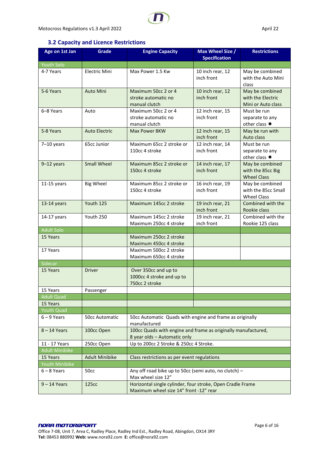# **3.2 Capacity and Licence Restrictions**

<span id="page-5-0"></span>

| Age on 1st Jan        | Grade                 | <b>Engine Capacity</b>                                                                               | Max Wheel Size /<br><b>Specification</b> | <b>Restrictions</b>                                          |
|-----------------------|-----------------------|------------------------------------------------------------------------------------------------------|------------------------------------------|--------------------------------------------------------------|
| <b>Youth Solo</b>     |                       |                                                                                                      |                                          |                                                              |
| 4-7 Years             | <b>Electric Mini</b>  | Max Power 1.5 Kw                                                                                     | 10 inch rear, 12<br>inch front           | May be combined<br>with the Auto Mini<br>class               |
| 5-6 Years             | <b>Auto Mini</b>      | Maximum 50cc 2 or 4<br>stroke automatic no<br>manual clutch                                          | 10 inch rear, 12<br>inch front           | May be combined<br>with the Electric<br>Mini or Auto class   |
| 6-8 Years             | Auto                  | Maximum 50cc 2 or 4<br>stroke automatic no<br>manual clutch                                          | 12 inch rear, 15<br>inch front           | Must be run<br>separate to any<br>other class *              |
| 5-8 Years             | <b>Auto Electric</b>  | Max Power 8KW                                                                                        | 12 inch rear, 15<br>inch front           | May be run with<br><b>Auto class</b>                         |
| $7-10$ years          | 65cc Junior           | Maximum 65cc 2 stroke or<br>110cc 4 stroke                                                           | 12 inch rear, 14<br>inch front           | Must be run<br>separate to any<br>other class *              |
| $9-12$ years          | <b>Small Wheel</b>    | Maximum 85cc 2 stroke or<br>150cc 4 stroke                                                           | 14 inch rear, 17<br>inch front           | May be combined<br>with the 85cc Big<br><b>Wheel Class</b>   |
| $11-15$ years         | <b>Big Wheel</b>      | Maximum 85cc 2 stroke or<br>150cc 4 stroke                                                           | 16 inch rear, 19<br>inch front           | May be combined<br>with the 85cc Small<br><b>Wheel Class</b> |
| $13-14$ years         | Youth 125             | Maximum 145cc 2 stroke                                                                               | 19 inch rear, 21<br>inch front           | Combined with the<br>Rookie class                            |
| 14-17 years           | Youth 250             | Maximum 145cc 2 stroke<br>Maximum 250cc 4 stroke                                                     | 19 inch rear, 21<br>inch front           | Combined with the<br>Rookie 125 class                        |
| <b>Adult Solo</b>     |                       |                                                                                                      |                                          |                                                              |
| 15 Years              |                       | Maximum 250cc 2 stroke<br>Maximum 450cc 4 stroke                                                     |                                          |                                                              |
| 17 Years              |                       | Maximum 500cc 2 stroke<br>Maximum 650cc 4 stroke                                                     |                                          |                                                              |
| Sidecar               |                       |                                                                                                      |                                          |                                                              |
| 15 Years              | <b>Driver</b>         | Over 350cc and up to<br>1000cc 4 stroke and up to<br>750cc 2 stroke                                  |                                          |                                                              |
| 15 Years              | Passenger             |                                                                                                      |                                          |                                                              |
| <b>Adult Quad</b>     |                       |                                                                                                      |                                          |                                                              |
| 15 Years              |                       |                                                                                                      |                                          |                                                              |
| Youth Quad            |                       |                                                                                                      |                                          |                                                              |
| $6 - 9$ Years         | <b>50cc Automatic</b> | 50cc Automatic Quads with engine and frame as originally<br>manufactured                             |                                          |                                                              |
| $8 - 14$ Years        | 100cc Open            | 100cc Quads with engine and frame as originally manufactured,<br>8 year olds - Automatic only        |                                          |                                                              |
| 11 - 17 Years         | 250cc Open            | Up to 200cc 2 Stroke & 250cc 4 Stroke.                                                               |                                          |                                                              |
| <b>Adult Minibike</b> |                       |                                                                                                      |                                          |                                                              |
| 15 Years              | <b>Adult Minibike</b> | Class restrictions as per event regulations                                                          |                                          |                                                              |
| Youth Minibike        |                       |                                                                                                      |                                          |                                                              |
| $6 - 8$ Years         | 50cc                  | Any off road bike up to 50cc (semi auto, no clutch) -<br>Max wheel size 12"                          |                                          |                                                              |
| $9 - 14$ Years        | 125cc                 | Horizontal single cylinder, four stroke, Open Cradle Frame<br>Maximum wheel size 14" front -12" rear |                                          |                                                              |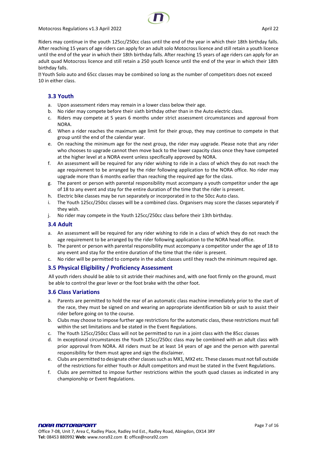Motocross Regulations v1.3 April 2022 April 2022 April 22



Riders may continue in the youth 125cc/250cc class until the end of the year in which their 18th birthday falls. After reaching 15 years of age riders can apply for an adult solo Motocross licence and still retain a youth licence until the end of the year in which their 18th birthday falls. After reaching 15 years of age riders can apply for an adult quad Motocross licence and still retain a 250 youth licence until the end of the year in which their 18th birthday falls.

Youth Solo auto and 65cc classes may be combined so long as the number of competitors does not exceed 10 in either class.

# <span id="page-6-0"></span>**3.3 Youth**

- a. Upon assessment riders may remain in a lower class below their age.
- b. No rider may compete before their sixth birthday other than in the Auto electric class.
- c. Riders may compete at 5 years 6 months under strict assessment circumstances and approval from NORA.
- d. When a rider reaches the maximum age limit for their group, they may continue to compete in that group until the end of the calendar year.
- e. On reaching the minimum age for the next group, the rider may upgrade. Please note that any rider who chooses to upgrade cannot then move back to the lower capacity class once they have competed at the higher level at a NORA event unless specifically approved by NORA.
- f. An assessment will be required for any rider wishing to ride in a class of which they do not reach the age requirement to be arranged by the rider following application to the NORA office. No rider may upgrade more than 6 months earlier than reaching the required age for the class.
- g. The parent or person with parental responsibility must accompany a youth competitor under the age of 18 to any event and stay for the entire duration of the time that the rider is present.
- h. Electric bike classes may be run separately or incorporated in to the 50cc Auto class.
- i. The Youth 125cc/250cc classes will be a combined class. Organisers may score the classes separately if they wish.
- j. No rider may compete in the Youth 125cc/250cc class before their 13th birthday.

## <span id="page-6-1"></span>**3.4 Adult**

- a. An assessment will be required for any rider wishing to ride in a class of which they do not reach the age requirement to be arranged by the rider following application to the NORA head office.
- b. The parent or person with parental responsibility must accompany a competitor under the age of 18 to any event and stay for the entire duration of the time that the rider is present.
- c. No rider will be permitted to compete in the adult classes until they reach the minimum required age.

# <span id="page-6-2"></span>**3.5 Physical Eligibility / Proficiency Assessment**

All youth riders should be able to sit astride their machines and, with one foot firmly on the ground, must be able to control the gear lever or the foot brake with the other foot.

# <span id="page-6-3"></span>**3.6 Class Variations**

- a. Parents are permitted to hold the rear of an automatic class machine immediately prior to the start of the race, they must be signed on and wearing an appropriate identification bib or sash to assist their rider before going on to the course.
- b. Clubs may choose to impose further age restrictions for the automatic class, these restrictions must fall within the set limitations and be stated in the Event Regulations.
- c. The Youth 125cc/250cc Class will not be permitted to run in a joint class with the 85cc classes
- d. In exceptional circumstances the Youth 125cc/250cc class may be combined with an adult class with prior approval from NORA. All riders must be at least 14 years of age and the person with parental responsibility for them must agree and sign the disclaimer.
- e. Clubs are permitted to designate other classes such as MX1, MX2 etc. These classes must not fall outside of the restrictions for either Youth or Adult competitors and must be stated in the Event Regulations.
- f. Clubs are permitted to impose further restrictions within the youth quad classes as indicated in any championship or Event Regulations.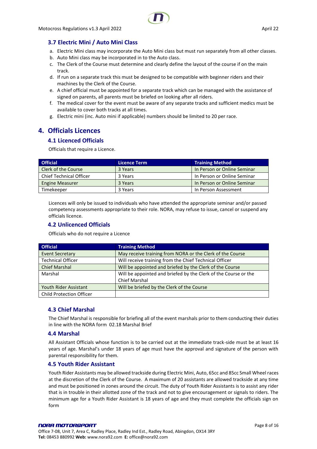

# <span id="page-7-0"></span>**3.7 Electric Mini / Auto Mini Class**

- a. Electric Mini class may incorporate the Auto Mini class but must run separately from all other classes.
- b. Auto Mini class may be incorporated in to the Auto class.
- c. The Clerk of the Course must determine and clearly define the layout of the course if on the main track.
- d. If run on a separate track this must be designed to be compatible with beginner riders and their machines by the Clerk of the Course.
- e. A chief official must be appointed for a separate track which can be managed with the assistance of signed on parents, all parents must be briefed on looking after all riders.
- f. The medical cover for the event must be aware of any separate tracks and sufficient medics must be available to cover both tracks at all times.
- g. Electric mini (inc. Auto mini if applicable) numbers should be limited to 20 per race.

# <span id="page-7-2"></span><span id="page-7-1"></span>**4. Officials Licences**

### **4.1 Licenced Officials**

Officials that require a Licence.

| <b>Official</b>                | Licence Term | <b>Training Method</b>      |
|--------------------------------|--------------|-----------------------------|
| Clerk of the Course            | 3 Years      | In Person or Online Seminar |
| <b>Chief Technical Officer</b> | 3 Years      | In Person or Online Seminar |
| <b>Engine Measurer</b>         | 3 Years      | In Person or Online Seminar |
| Timekeeper                     | 3 Years      | In Person Assessment        |

Licences will only be issued to individuals who have attended the appropriate seminar and/or passed competency assessments appropriate to their role. NORA, may refuse to issue, cancel or suspend any officials licence.

# <span id="page-7-3"></span>**4.2 Unlicenced Officials**

Officials who do not require a Licence

| <b>Official</b>                 | <b>Training Method</b>                                                                  |
|---------------------------------|-----------------------------------------------------------------------------------------|
| <b>Event Secretary</b>          | May receive training from NORA or the Clerk of the Course                               |
| <b>Technical Officer</b>        | Will receive training from the Chief Technical Officer                                  |
| <b>Chief Marshal</b>            | Will be appointed and briefed by the Clerk of the Course                                |
| Marshal                         | Will be appointed and briefed by the Clerk of the Course or the<br><b>Chief Marshal</b> |
| Youth Rider Assistant           | Will be briefed by the Clerk of the Course                                              |
| <b>Child Protection Officer</b> |                                                                                         |

# <span id="page-7-4"></span>**4.3 Chief Marshal**

The Chief Marshal is responsible for briefing all of the event marshals prior to them conducting their duties in line with the NORA form 02.18 Marshal Brief

# <span id="page-7-5"></span>**4.4 Marshal**

All Assistant Officials whose function is to be carried out at the immediate track-side must be at least 16 years of age. Marshal's under 18 years of age must have the approval and signature of the person with parental responsibility for them.

# <span id="page-7-6"></span>**4.5 Youth Rider Assistant**

Youth Rider Assistants may be allowed trackside during Electric Mini, Auto, 65cc and 85cc Small Wheel races at the discretion of the Clerk of the Course. A maximum of 20 assistants are allowed trackside at any time and must be positioned in zones around the circuit. The duty of Youth Rider Assistants is to assist any rider that is in trouble in their allotted zone of the track and not to give encouragement or signals to riders. The minimum age for a Youth Rider Assistant is 18 years of age and they must complete the officials sign on form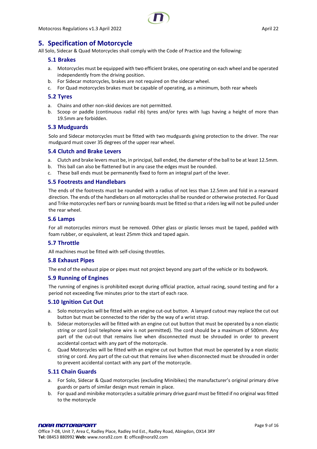

# <span id="page-8-0"></span>**5. Specification of Motorcycle**

<span id="page-8-1"></span>All Solo, Sidecar & Quad Motorcycles shall comply with the Code of Practice and the following:

## **5.1 Brakes**

- a. Motorcycles must be equipped with two efficient brakes, one operating on each wheel and be operated independently from the driving position.
- b. For Sidecar motorcycles, brakes are not required on the sidecar wheel.
- c. For Quad motorcycles brakes must be capable of operating, as a minimum, both rear wheels

### <span id="page-8-2"></span>**5.2 Tyres**

- a. Chains and other non-skid devices are not permitted.
- b. Scoop or paddle (continuous radial rib) tyres and/or tyres with lugs having a height of more than 19.5mm are forbidden.

### <span id="page-8-3"></span>**5.3 Mudguards**

Solo and Sidecar motorcycles must be fitted with two mudguards giving protection to the driver. The rear mudguard must cover 35 degrees of the upper rear wheel.

#### <span id="page-8-4"></span>**5.4 Clutch and Brake Levers**

- a. Clutch and brake levers must be, in principal, ball ended, the diameter of the ball to be at least 12.5mm.
- b. This ball can also be flattened but in any case the edges must be rounded.
- c. These ball ends must be permanently fixed to form an integral part of the lever.

### <span id="page-8-5"></span>**5.5 Footrests and Handlebars**

The ends of the footrests must be rounded with a radius of not less than 12.5mm and fold in a rearward direction. The ends of the handlebars on all motorcycles shall be rounded or otherwise protected. For Quad and Trike motorcycles nerf bars or running boards must be fitted so that a riders leg will not be pulled under the rear wheel.

#### <span id="page-8-6"></span>**5.6 Lamps**

For all motorcycles mirrors must be removed. Other glass or plastic lenses must be taped, padded with foam rubber, or equivalent, at least 25mm thick and taped again.

# <span id="page-8-7"></span>**5.7 Throttle**

All machines must be fitted with self-closing throttles.

#### <span id="page-8-8"></span>**5.8 Exhaust Pipes**

The end of the exhaust pipe or pipes must not project beyond any part of the vehicle or its bodywork.

#### <span id="page-8-9"></span>**5.9 Running of Engines**

The running of engines is prohibited except during official practice, actual racing, sound testing and for a period not exceeding five minutes prior to the start of each race.

#### <span id="page-8-10"></span>**5.10 Ignition Cut Out**

- a. Solo motorcycles will be fitted with an engine cut-out button. A lanyard cutout may replace the cut out button but must be connected to the rider by the way of a wrist strap.
- b. Sidecar motorcycles will be fitted with an engine cut out button that must be operated by a non elastic string or cord (coil telephone wire is not permitted). The cord should be a maximum of 500mm. Any part of the cut-out that remains live when disconnected must be shrouded in order to prevent accidental contact with any part of the motorcycle.
- c. Quad Motorcycles will be fitted with an engine cut out button that must be operated by a non elastic string or cord. Any part of the cut-out that remains live when disconnected must be shrouded in order to prevent accidental contact with any part of the motorcycle.

# <span id="page-8-11"></span>**5.11 Chain Guards**

- a. For Solo, Sidecar & Quad motorcycles (excluding Minibikes) the manufacturer's original primary drive guards or parts of similar design must remain in place.
- b. For quad and minibike motorcycles a suitable primary drive guard must be fitted if no original was fitted to the motorcycle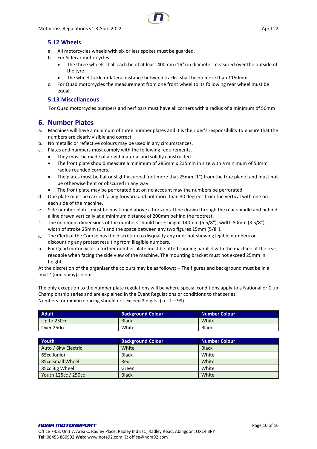

# <span id="page-9-0"></span>**5.12 Wheels**

- a. All motorcycles wheels with six or less spokes must be guarded.
- b. For Sidecar motorcycles:
	- The three wheels shall each be of at least 400mm (16") in diameter measured over the outside of the tyre.
	- The wheel track, or lateral distance between tracks, shall be no more than 1150mm.
- c. For Quad motorcycles the measurement from one front wheel to its following rear wheel must be equal.

# <span id="page-9-1"></span>**5.13 Miscellaneous**

For Quad motorcycles bumpers and nerf bars must have all corners with a radius of a minimum of 50mm

# <span id="page-9-2"></span>**6. Number Plates**

- a. Machines will have a minimum of three number plates and it is the rider's responsibility to ensure that the numbers are clearly visible and correct.
- b. No metallic or reflective colours may be used in any circumstances.
- c. Plates and numbers must comply with the following requirements.
	- They must be made of a rigid material and solidly constructed.
	- The front plate should measure a minimum of 285mm x 235mm in size with a minimum of 50mm radius rounded corners.
	- The plates must be flat or slightly curved (not more that 25mm (1") from the true plane) and must not be otherwise bent or obscured in any way.
	- The front plate may be perforated but on no account may the numbers be perforated.
- d. One plate must be carried facing forward and not more than 30 degrees from the vertical with one on each side of the machine.
- e. Side number plates must be positioned above a horizontal line drawn through the rear spindle and behind a line drawn vertically at a minimum distance of 200mm behind the footrest.
- f. The minimum dimensions of the numbers should be: height 140mm (5 5/8"), width 80mm (3 5/8"), width of stroke 25mm (1") and the space between any two figures 15mm (5/8").
- g. The Clerk of the Course has the discretion to disqualify any rider not showing legible numbers or discounting any protest resulting from illegible numbers.
- h. For Quad motorcycles a further number plate must be fitted running parallel with the machine at the rear, readable when facing the side view of the machine. The mounting bracket must not exceed 25mm in height.

At the discretion of the organiser the colours may be as follows: – The figures and background must be in a 'matt' (non-shiny) colour

The only exception to the number plate regulations will be where special conditions apply to a National or Club Championship series and are explained in the Event Regulations or conditions to that series. Numbers for minibike racing should not exceed 2 digits, (i.e.  $1 - 99$ )

| <b>Adult</b>  | <b>Background Colour</b> | <b>Number Colour</b> |
|---------------|--------------------------|----------------------|
| Up to $250cc$ | <b>Black</b>             | White                |
| Over 250cc    | White                    | <b>Black</b>         |

| Youth               | <b>Background Colour</b> | <b>Number Colour</b> |
|---------------------|--------------------------|----------------------|
| Auto / 8kw Electric | White                    | <b>Black</b>         |
| 65cc Junior         | <b>Black</b>             | White                |
| 85cc Small Wheel    | Red                      | White                |
| 85cc Big Wheel      | Green                    | White                |
| Youth 125cc / 250cc | <b>Black</b>             | White                |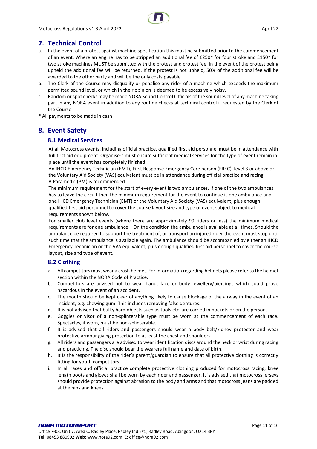

# <span id="page-10-0"></span>**7. Technical Control**

- a. In the event of a protest against machine specification this must be submitted prior to the commencement of an event. Where an engine has to be stripped an additional fee of £250\* for four stroke and £150\* for two stroke machines MUST be submitted with the protest and protest fee. In the event of the protest being upheld the additional fee will be returned. If the protest is not upheld, 50% of the additional fee will be awarded to the other party and will be the only costs payable.
- b. The Clerk of the Course may disqualify or penalise any rider of a machine which exceeds the maximum permitted sound level, or which in their opinion is deemed to be excessively noisy.
- c. Random or spot checks may be made NORA Sound Control Officials of the sound level of any machine taking part in any NORA event in addition to any routine checks at technical control if requested by the Clerk of the Course.
- <span id="page-10-1"></span>\* All payments to be made in cash

# <span id="page-10-2"></span>**8. Event Safety**

### **8.1 Medical Services**

At all Motocross events, including official practice, qualified first aid personnel must be in attendance with full first aid equipment. Organisers must ensure sufficient medical services for the type of event remain in place until the event has completely finished.

An IHCD Emergency Technician (EMT), First Response Emergency Care person (FREC), level 3 or above or the Voluntary Aid Society (VAS) equivalent must be in attendance during official practice and racing. A Paramedic (PM) is recommended.

The minimum requirement for the start of every event is two ambulances. If one of the two ambulances has to leave the circuit then the minimum requirement for the event to continue is one ambulance and one IHCD Emergency Technician (EMT) or the Voluntary Aid Society (VAS) equivalent, plus enough qualified first aid personnel to cover the course layout size and type of event subject to medical requirements shown below.

For smaller club level events (where there are approximately 99 riders or less) the minimum medical requirements are for one ambulance – On the condition the ambulance is available at all times. Should the ambulance be required to support the treatment of, or transport an injured rider the event must stop until such time that the ambulance is available again. The ambulance should be accompanied by either an IHCD Emergency Technician or the VAS equivalent, plus enough qualified first aid personnel to cover the course layout, size and type of event.

# <span id="page-10-3"></span>**8.2 Clothing**

- a. All competitors must wear a crash helmet. For information regarding helmets please refer to the helmet section within the NORA Code of Practice.
- b. Competitors are advised not to wear hand, face or body jewellery/piercings which could prove hazardous in the event of an accident.
- c. The mouth should be kept clear of anything likely to cause blockage of the airway in the event of an incident, e.g. chewing gum. This includes removing false dentures.
- d. It is not advised that bulky hard objects such as tools etc. are carried in pockets or on the person.
- e. Goggles or visor of a non-splinterable type must be worn at the commencement of each race. Spectacles, if worn, must be non-splinterable.
- f. It is advised that all riders and passengers should wear a body belt/kidney protector and wear protective armour giving protection to at least the chest and shoulders.
- g. All riders and passengers are advised to wear identification discs around the neck or wrist during racing and practicing. The disc should bear the wearers full name and date of birth.
- h. It is the responsibility of the rider's parent/guardian to ensure that all protective clothing is correctly fitting for youth competitors.
- i. In all races and official practice complete protective clothing produced for motocross racing, knee length boots and gloves shall be worn by each rider and passenger. It is advised that motocross jerseys should provide protection against abrasion to the body and arms and that motocross jeans are padded at the hips and knees.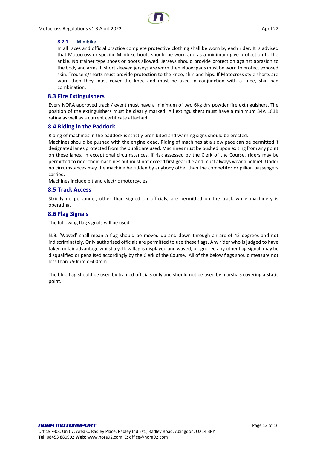

#### <span id="page-11-0"></span>**8.2.1 Minibike**

In all races and official practice complete protective clothing shall be worn by each rider. It is advised that Motocross or specific Minibike boots should be worn and as a minimum give protection to the ankle. No trainer type shoes or boots allowed. Jerseys should provide protection against abrasion to the body and arms. If short sleeved jerseys are worn then elbow pads must be worn to protect exposed skin. Trousers/shorts must provide protection to the knee, shin and hips. If Motocross style shorts are worn then they must cover the knee and must be used in conjunction with a knee, shin pad combination.

#### <span id="page-11-1"></span>**8.3 Fire Extinguishers**

Every NORA approved track / event must have a minimum of two 6Kg dry powder fire extinguishers. The position of the extinguishers must be clearly marked. All extinguishers must have a minimum 34A 183B rating as well as a current certificate attached.

#### <span id="page-11-2"></span>**8.4 Riding in the Paddock**

Riding of machines in the paddock is strictly prohibited and warning signs should be erected.

Machines should be pushed with the engine dead. Riding of machines at a slow pace can be permitted if designated lanes protected from the public are used. Machines must be pushed upon exiting from any point on these lanes. In exceptional circumstances, if risk assessed by the Clerk of the Course, riders may be permitted to rider their machines but must not exceed first gear idle and must always wear a helmet. Under no circumstances may the machine be ridden by anybody other than the competitor or pillion passengers carried.

Machines include pit and electric motorcycles.

#### <span id="page-11-3"></span>**8.5 Track Access**

Strictly no personnel, other than signed on officials, are permitted on the track while machinery is operating.

#### <span id="page-11-4"></span>**8.6 Flag Signals**

The following flag signals will be used:

N.B. 'Waved' shall mean a flag should be moved up and down through an arc of 45 degrees and not indiscriminately. Only authorised officials are permitted to use these flags. Any rider who is judged to have taken unfair advantage whilst a yellow flag is displayed and waved, or ignored any other flag signal, may be disqualified or penalised accordingly by the Clerk of the Course. All of the below flags should measure not less than 750mm x 600mm.

The blue flag should be used by trained officials only and should not be used by marshals covering a static point.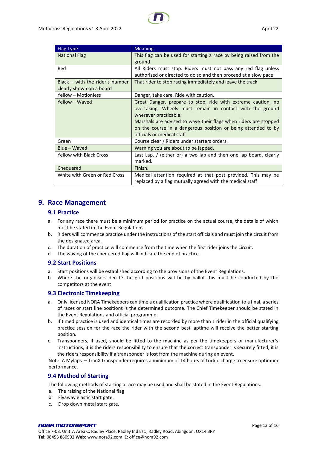| Flag Type                                                     | <b>Meaning</b>                                                                                                                                                                                                                                                                                                        |
|---------------------------------------------------------------|-----------------------------------------------------------------------------------------------------------------------------------------------------------------------------------------------------------------------------------------------------------------------------------------------------------------------|
| <b>National Flag</b>                                          | This flag can be used for starting a race by being raised from the<br>ground                                                                                                                                                                                                                                          |
| Red                                                           | All Riders must stop. Riders must not pass any red flag unless<br>authorised or directed to do so and then proceed at a slow pace                                                                                                                                                                                     |
| Black $-$ with the rider's number<br>clearly shown on a board | That rider to stop racing immediately and leave the track                                                                                                                                                                                                                                                             |
| Yellow - Motionless                                           | Danger, take care. Ride with caution.                                                                                                                                                                                                                                                                                 |
| Yellow - Waved                                                | Great Danger, prepare to stop, ride with extreme caution, no<br>overtaking. Wheels must remain in contact with the ground<br>wherever practicable.<br>Marshals are advised to wave their flags when riders are stopped<br>on the course in a dangerous position or being attended to by<br>officials or medical staff |
| Green                                                         | Course clear / Riders under starters orders.                                                                                                                                                                                                                                                                          |
| Blue – Waved                                                  | Warning you are about to be lapped.                                                                                                                                                                                                                                                                                   |
| <b>Yellow with Black Cross</b>                                | Last Lap. / (either or) a two lap and then one lap board, clearly<br>marked.                                                                                                                                                                                                                                          |
| Chequered                                                     | Finish.                                                                                                                                                                                                                                                                                                               |
| White with Green or Red Cross                                 | Medical attention required at that post provided. This may be<br>replaced by a flag mutually agreed with the medical staff                                                                                                                                                                                            |

# <span id="page-12-1"></span><span id="page-12-0"></span>**9. Race Management**

# **9.1 Practice**

- a. For any race there must be a minimum period for practice on the actual course, the details of which must be stated in the Event Regulations.
- b. Riders will commence practice under the instructions of the start officials and must join the circuit from the designated area.
- c. The duration of practice will commence from the time when the first rider joins the circuit.
- d. The waving of the chequered flag will indicate the end of practice.

# <span id="page-12-2"></span>**9.2 Start Positions**

- a. Start positions will be established according to the provisions of the Event Regulations.
- b. Where the organisers decide the grid positions will be by ballot this must be conducted by the competitors at the event

# <span id="page-12-3"></span>**9.3 Electronic Timekeeping**

- a. Only licensed NORA Timekeepers can time a qualification practice where qualification to a final, a series of races or start line positions is the determined outcome. The Chief Timekeeper should be stated in the Event Regulations and official programme.
- b. If timed practice is used and identical times are recorded by more than 1 rider in the official qualifying practice session for the race the rider with the second best laptime will receive the better starting position.
- c. Transponders, if used, should be fitted to the machine as per the timekeepers or manufacturer's instructions, it is the riders responsibility to ensure that the correct transponder is securely fitted, it is the riders responsibility if a transponder is lost from the machine during an event.

Note: A Mylaps – TranX transponder requires a minimum of 14 hours of trickle charge to ensure optimum performance.

# <span id="page-12-4"></span>**9.4 Method of Starting**

The following methods of starting a race may be used and shall be stated in the Event Regulations.

- a. The raising of the National flag
- b. Flyaway elastic start gate.
- c. Drop down metal start gate.

#### NORA MOTORSPORT Office 7-08, Unit 7, Area C, Radley Place, Radley Ind Est., Radley Road, Abingdon, OX14 3RY **Tel:** 08453 880992 **Web:** www.nora92.com **E:** office@nora92.com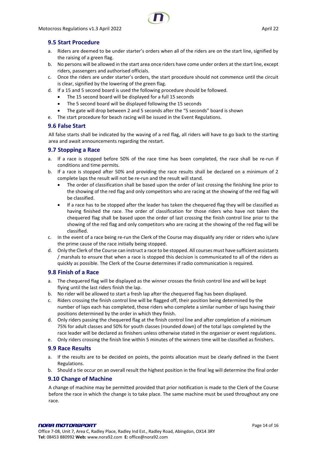

# <span id="page-13-0"></span>**9.5 Start Procedure**

- a. Riders are deemed to be under starter's orders when all of the riders are on the start line, signified by the raising of a green flag.
- b. No persons will be allowed in the start area once riders have come under orders at the start line, except riders, passengers and authorised officials.
- c. Once the riders are under starter's orders, the start procedure should not commence until the circuit is clear, signified by the lowering of the green flag.
- d. If a 15 and 5 second board is used the following procedure should be followed.
	- The 15 second board will be displayed for a full 15 seconds
	- The 5 second board will be displayed following the 15 seconds
	- The gate will drop between 2 and 5 seconds after the "5 seconds" board is shown
- e. The start procedure for beach racing will be issued in the Event Regulations.

# <span id="page-13-1"></span>**9.6 False Start**

All false starts shall be indicated by the waving of a red flag, all riders will have to go back to the starting area and await announcements regarding the restart.

# <span id="page-13-2"></span>**9.7 Stopping a Race**

- a. If a race is stopped before 50% of the race time has been completed, the race shall be re-run if conditions and time permits.
- b. If a race is stopped after 50% and providing the race results shall be declared on a minimum of 2 complete laps the result will not be re-run and the result will stand.
	- The order of classification shall be based upon the order of last crossing the finishing line prior to the showing of the red flag and only competitors who are racing at the showing of the red flag will be classified.
	- If a race has to be stopped after the leader has taken the chequered flag they will be classified as having finished the race. The order of classification for those riders who have not taken the chequered flag shall be based upon the order of last crossing the finish control line prior to the showing of the red flag and only competitors who are racing at the showing of the red flag will be classified.
- c. In the event of a race being re-run the Clerk of the Course may disqualify any rider or riders who is/are the prime cause of the race initially being stopped.
- d. Only the Clerk of the Course can instruct a race to be stopped. All courses must have sufficient assistants / marshals to ensure that when a race is stopped this decision is communicated to all of the riders as quickly as possible. The Clerk of the Course determines if radio communication is required.

# <span id="page-13-3"></span>**9.8 Finish of a Race**

- a. The chequered flag will be displayed as the winner crosses the finish control line and will be kept flying until the last riders finish the lap.
- b. No rider will be allowed to start a fresh lap after the chequered flag has been displayed.
- c. Riders crossing the finish control line will be flagged off, their position being determined by the number of laps each has completed, those riders who complete a similar number of laps having their positions determined by the order in which they finish.
- d. Only riders passing the chequered flag at the finish control line and after completion of a minimum 75% for adult classes and 50% for youth classes (rounded down) of the total laps completed by the race leader will be declared as finishers unless otherwise stated in the organiser or event regulations.
- e. Only riders crossing the finish line within 5 minutes of the winners time will be classified as finishers.

# <span id="page-13-4"></span>**9.9 Race Results**

- a. If the results are to be decided on points, the points allocation must be clearly defined in the Event Regulations.
- b. Should a tie occur on an overall result the highest position in the final leg will determine the final order

# <span id="page-13-5"></span>**9.10 Change of Machine**

A change of machine may be permitted provided that prior notification is made to the Clerk of the Course before the race in which the change is to take place. The same machine must be used throughout any one race.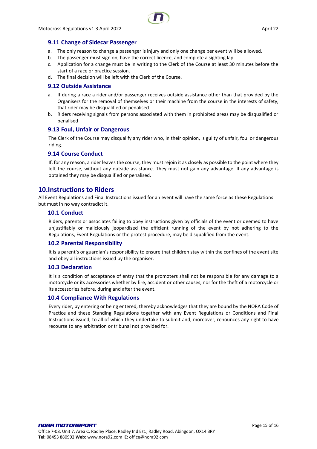

## <span id="page-14-0"></span>**9.11 Change of Sidecar Passenger**

- a. The only reason to change a passenger is injury and only one change per event will be allowed.
- b. The passenger must sign on, have the correct licence, and complete a sighting lap.
- c. Application for a change must be in writing to the Clerk of the Course at least 30 minutes before the start of a race or practice session.
- d. The final decision will be left with the Clerk of the Course.

#### <span id="page-14-1"></span>**9.12 Outside Assistance**

- a. If during a race a rider and/or passenger receives outside assistance other than that provided by the Organisers for the removal of themselves or their machine from the course in the interests of safety, that rider may be disqualified or penalised.
- b. Riders receiving signals from persons associated with them in prohibited areas may be disqualified or penalised

#### <span id="page-14-2"></span>**9.13 Foul, Unfair or Dangerous**

The Clerk of the Course may disqualify any rider who, in their opinion, is guilty of unfair, foul or dangerous riding.

#### <span id="page-14-3"></span>**9.14 Course Conduct**

If, for any reason, a rider leaves the course, they must rejoin it as closely as possible to the point where they left the course, without any outside assistance. They must not gain any advantage. If any advantage is obtained they may be disqualified or penalised.

# <span id="page-14-4"></span>**10.Instructions to Riders**

All Event Regulations and Final Instructions issued for an event will have the same force as these Regulations but must in no way contradict it.

#### <span id="page-14-5"></span>**10.1 Conduct**

Riders, parents or associates failing to obey instructions given by officials of the event or deemed to have unjustifiably or maliciously jeopardised the efficient running of the event by not adhering to the Regulations, Event Regulations or the protest procedure, may be disqualified from the event.

#### <span id="page-14-6"></span>**10.2 Parental Responsibility**

It is a parent's or guardian's responsibility to ensure that children stay within the confines of the event site and obey all instructions issued by the organiser.

#### <span id="page-14-7"></span>**10.3 Declaration**

It is a condition of acceptance of entry that the promoters shall not be responsible for any damage to a motorcycle or its accessories whether by fire, accident or other causes, nor for the theft of a motorcycle or its accessories before, during and after the event.

#### <span id="page-14-8"></span>**10.4 Compliance With Regulations**

Every rider, by entering or being entered, thereby acknowledges that they are bound by the NORA Code of Practice and these Standing Regulations together with any Event Regulations or Conditions and Final Instructions issued, to all of which they undertake to submit and, moreover, renounces any right to have recourse to any arbitration or tribunal not provided for.